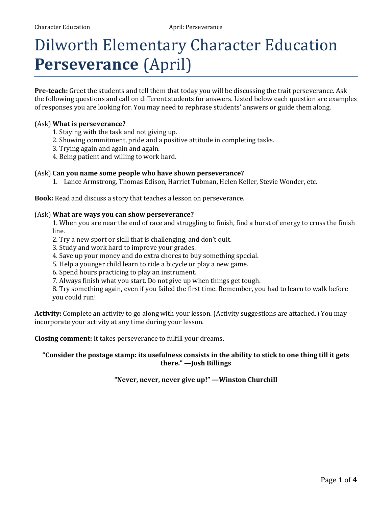# Dilworth Elementary Character Education **Perseverance** (April)

**Pre-teach:** Greet the students and tell them that today you will be discussing the trait perseverance. Ask the following questions and call on different students for answers. Listed below each question are examples of responses you are looking for. You may need to rephrase students' answers or guide them along.

### (Ask) **What is perseverance?**

- 1. Staying with the task and not giving up.
- 2. Showing commitment, pride and a positive attitude in completing tasks.
- 3. Trying again and again and again.
- 4. Being patient and willing to work hard.

### (Ask) **Can you name some people who have shown perseverance?**

1. Lance Armstrong, Thomas Edison, Harriet Tubman, Helen Keller, Stevie Wonder, etc.

**Book:** Read and discuss a story that teaches a lesson on perseverance.

### (Ask) **What are ways you can show perseverance?**

1. When you are near the end of race and struggling to finish, find a burst of energy to cross the finish line.

- 2. Try a new sport or skill that is challenging, and don't quit.
- 3. Study and work hard to improve your grades.
- 4. Save up your money and do extra chores to buy something special.
- 5. Help a younger child learn to ride a bicycle or play a new game.
- 6. Spend hours practicing to play an instrument.
- 7. Always finish what you start. Do not give up when things get tough.

8. Try something again, even if you failed the first time. Remember, you had to learn to walk before you could run!

**Activity:** Complete an activity to go along with your lesson. (Activity suggestions are attached.) You may incorporate your activity at any time during your lesson.

**Closing comment:** It takes perseverance to fulfill your dreams.

### **"Consider the postage stamp: its usefulness consists in the ability to stick to one thing till it gets there." —Josh Billings**

### **"Never, never, never give up!" —Winston Churchill**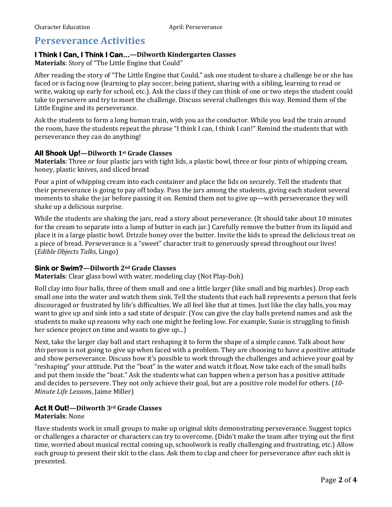# **Perseverance Activities**

### **I Think I Can, I Think I Can...—Dilworth Kindergarten Classes**

**Materials**: Story of "The Little Engine that Could"

After reading the story of "The Little Engine that Could," ask one student to share a challenge he or she has faced or is facing now (learning to play soccer, being patient, sharing with a sibling, learning to read or write, waking up early for school, etc.). Ask the class if they can think of one or two steps the student could take to persevere and try to meet the challenge. Discuss several challenges this way. Remind them of the Little Engine and its perseverance.

Ask the students to form a long human train, with you as the conductor. While you lead the train around the room, have the students repeat the phrase "I think I can, I think I can!" Remind the students that with perseverance they can do anything!

### **All Shook Up!—Dilworth 1st Grade Classes**

**Materials**: Three or four plastic jars with tight lids, a plastic bowl, three or four pints of whipping cream, honey, plastic knives, and sliced bread

Pour a pint of whipping cream into each container and place the lids on securely. Tell the students that their perseverance is going to pay off today. Pass the jars among the students, giving each student several moments to shake the jar before passing it on. Remind them not to give up—with perseverance they will shake up a delicious surprise.

While the students are shaking the jars, read a story about perseverance. (It should take about 10 minutes for the cream to separate into a lump of butter in each jar.) Carefully remove the butter from its liquid and place it in a large plastic bowl. Drizzle honey over the butter. Invite the kids to spread the delicious treat on a piece of bread. Perseverance is a "sweet" character trait to generously spread throughout our lives! (*Edible Objects Talks*, Lingo)

### **Sink or Swim?—Dilworth 2nd Grade Classes**

**Materials**: Clear glass bowl with water, modeling clay (Not Play-Doh)

Roll clay into four balls, three of them small and one a little larger (like small and big marbles). Drop each small one into the water and watch them sink. Tell the students that each ball represents a person that feels discouraged or frustrated by life's difficulties. We all feel like that at times. Just like the clay balls, you may want to give up and sink into a sad state of despair. (You can give the clay balls pretend names and ask the students to make up reasons why each one might be feeling low. For example, Susie is struggling to finish her science project on time and wants to give up...)

Next, take the larger clay ball and start reshaping it to form the shape of a simple canoe. Talk about how *this* person is not going to give up when faced with a problem. They are choosing to have a positive attitude and show perseverance. Discuss how it's possible to work through the challenges and achieve your goal by "reshaping" your attitude. Put the "boat" in the water and watch it float. Now take each of the small balls and put them inside the "boat." Ask the students what can happen when a person has a positive attitude and decides to persevere. They not only achieve their goal, but are a positive role model for others. (*10- Minute Life Lesson*s, Jaime Miller)

### **Act It Out!—Dilworth 3rd Grade Classes**

### **Materials**: None

Have students work in small groups to make up original skits demonstrating perseverance. Suggest topics or challenges a character or characters can try to overcome. (Didn't make the team after trying out the first time, worried about musical recital coming up, schoolwork is really challenging and frustrating, etc.) Allow each group to present their skit to the class. Ask them to clap and cheer for perseverance after each skit is presented.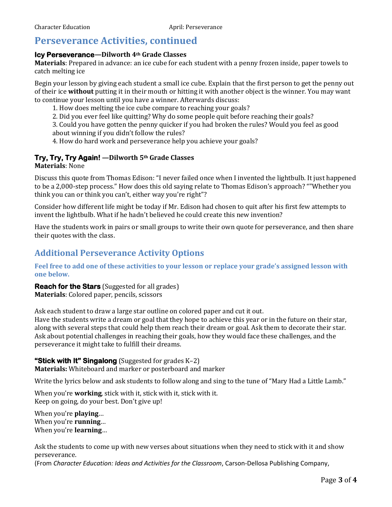## **Perseverance Activities, continued**

### **Icy Perseverance—Dilworth 4th Grade Classes**

**Materials**: Prepared in advance: an ice cube for each student with a penny frozen inside, paper towels to catch melting ice

Begin your lesson by giving each student a small ice cube. Explain that the first person to get the penny out of their ice **without** putting it in their mouth or hitting it with another object is the winner. You may want to continue your lesson until you have a winner. Afterwards discuss:

1. How does melting the ice cube compare to reaching your goals?

2. Did you ever feel like quitting? Why do some people quit before reaching their goals?

3. Could you have gotten the penny quicker if you had broken the rules? Would you feel as good about winning if you didn't follow the rules?

4. How do hard work and perseverance help you achieve your goals?

### **Try, Try, Try Again! —Dilworth 5th Grade Classes**

**Materials**: None

Discuss this quote from Thomas Edison: "I never failed once when I invented the lightbulb. It just happened to be a 2,000-step process." How does this old saying relate to Thomas Edison's approach? ""Whether you think you can or think you can't, either way you're right"?

Consider how different life might be today if Mr. Edison had chosen to quit after his first few attempts to invent the lightbulb. What if he hadn't believed he could create this new invention?

Have the students work in pairs or small groups to write their own quote for perseverance, and then share their quotes with the class.

### **Additional Perseverance Activity Options**

**Feel free to add one of these activities to your lesson or replace your grade's assigned lesson with one below.**

**Reach for the Stars** (Suggested for all grades) **Materials**: Colored paper, pencils, scissors

Ask each student to draw a large star outline on colored paper and cut it out.

Have the students write a dream or goal that they hope to achieve this year or in the future on their star, along with several steps that could help them reach their dream or goal. Ask them to decorate their star. Ask about potential challenges in reaching their goals, how they would face these challenges, and the perseverance it might take to fulfill their dreams.

### **"Stick with It" Singalong** (Suggested for grades K–2)

**Materials:** Whiteboard and marker or posterboard and marker

Write the lyrics below and ask students to follow along and sing to the tune of "Mary Had a Little Lamb."

When you're **working**, stick with it, stick with it, stick with it. Keep on going, do your best. Don't give up!

When you're **playing**… When you're **running**… When you're **learning**…

Ask the students to come up with new verses about situations when they need to stick with it and show perseverance.

(From *Character Education: Ideas and Activities for the Classroom*, Carson-Dellosa Publishing Company,